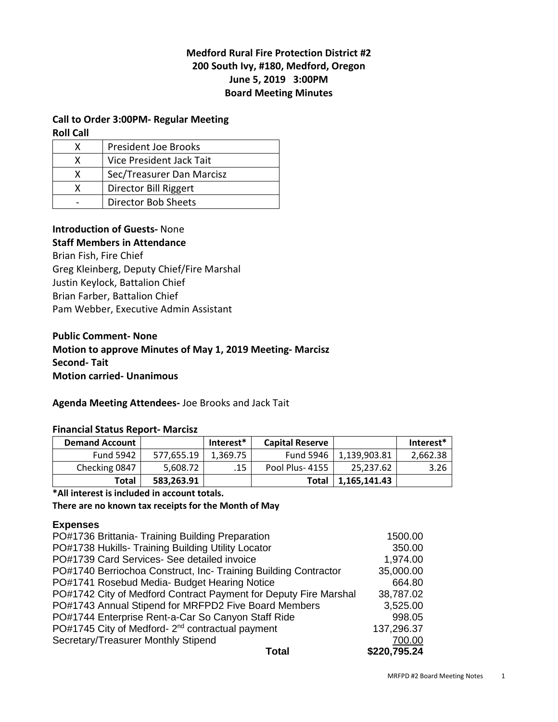# **Medford Rural Fire Protection District #2 200 South Ivy, #180, Medford, Oregon June 5, 2019 3:00PM Board Meeting Minutes**

## **Call to Order 3:00PM- Regular Meeting**

**Roll Call** 

|   | <b>President Joe Brooks</b> |  |  |  |
|---|-----------------------------|--|--|--|
| x | Vice President Jack Tait    |  |  |  |
| x | Sec/Treasurer Dan Marcisz   |  |  |  |
| x | Director Bill Riggert       |  |  |  |
|   | <b>Director Bob Sheets</b>  |  |  |  |

## **Introduction of Guests-** None

## **Staff Members in Attendance**

Brian Fish, Fire Chief Greg Kleinberg, Deputy Chief/Fire Marshal Justin Keylock, Battalion Chief Brian Farber, Battalion Chief Pam Webber, Executive Admin Assistant

# **Public Comment- None Motion to approve Minutes of May 1, 2019 Meeting- Marcisz Second- Tait Motion carried- Unanimous**

### **Agenda Meeting Attendees-** Joe Brooks and Jack Tait

### **Financial Status Report- Marcisz**

| <b>Demand Account</b> |            | Interest* | <b>Capital Reserve</b> |              | Interest* |  |  |
|-----------------------|------------|-----------|------------------------|--------------|-----------|--|--|
| <b>Fund 5942</b>      | 577.655.19 | 1.369.75  | <b>Fund 5946</b>       | 1,139,903.81 | 2,662.38  |  |  |
| Checking 0847         | 5,608.72   | .15       | Pool Plus-4155         | 25.237.62    | 3.26      |  |  |
| Total                 | 583,263.91 |           | Total                  | 1,165,141.43 |           |  |  |

## **\*All interest is included in account totals.**

**There are no known tax receipts for the Month of May** 

## **Expenses**

| Total                                                            | \$220,795.24 |
|------------------------------------------------------------------|--------------|
| Secretary/Treasurer Monthly Stipend                              | 700.00       |
| PO#1745 City of Medford- 2 <sup>nd</sup> contractual payment     | 137,296.37   |
| PO#1744 Enterprise Rent-a-Car So Canyon Staff Ride               | 998.05       |
| PO#1743 Annual Stipend for MRFPD2 Five Board Members             | 3,525.00     |
| PO#1742 City of Medford Contract Payment for Deputy Fire Marshal | 38,787.02    |
| PO#1741 Rosebud Media- Budget Hearing Notice                     | 664.80       |
| PO#1740 Berriochoa Construct, Inc- Training Building Contractor  | 35,000.00    |
| PO#1739 Card Services- See detailed invoice                      | 1,974.00     |
| PO#1738 Hukills- Training Building Utility Locator               | 350.00       |
| PO#1736 Brittania- Training Building Preparation                 | 1500.00      |
|                                                                  |              |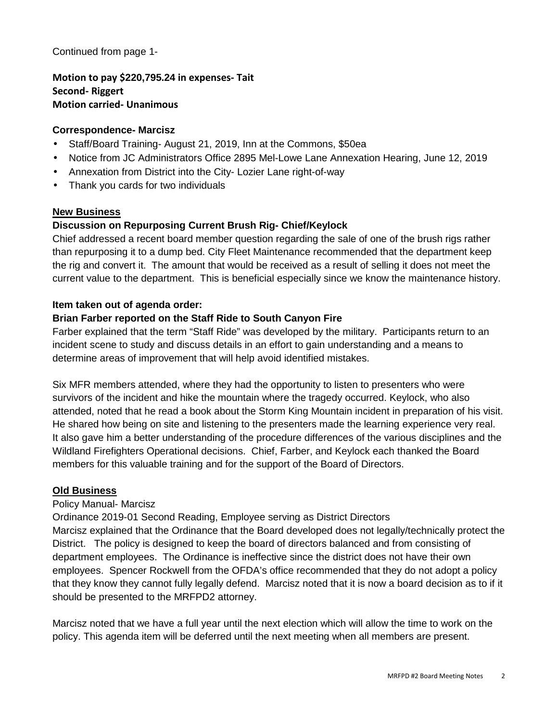Continued from page 1-

**Motion to pay \$220,795.24 in expenses- Tait Second- Riggert Motion carried- Unanimous** 

## **Correspondence- Marcisz**

- Staff/Board Training- August 21, 2019, Inn at the Commons, \$50ea
- Notice from JC Administrators Office 2895 Mel-Lowe Lane Annexation Hearing, June 12, 2019
- Annexation from District into the City- Lozier Lane right-of-way
- Thank you cards for two individuals

### **New Business**

# **Discussion on Repurposing Current Brush Rig- Chief/Keylock**

Chief addressed a recent board member question regarding the sale of one of the brush rigs rather than repurposing it to a dump bed. City Fleet Maintenance recommended that the department keep the rig and convert it. The amount that would be received as a result of selling it does not meet the current value to the department. This is beneficial especially since we know the maintenance history.

### **Item taken out of agenda order:**

## **Brian Farber reported on the Staff Ride to South Canyon Fire**

Farber explained that the term "Staff Ride" was developed by the military. Participants return to an incident scene to study and discuss details in an effort to gain understanding and a means to determine areas of improvement that will help avoid identified mistakes.

Six MFR members attended, where they had the opportunity to listen to presenters who were survivors of the incident and hike the mountain where the tragedy occurred. Keylock, who also attended, noted that he read a book about the Storm King Mountain incident in preparation of his visit. He shared how being on site and listening to the presenters made the learning experience very real. It also gave him a better understanding of the procedure differences of the various disciplines and the Wildland Firefighters Operational decisions. Chief, Farber, and Keylock each thanked the Board members for this valuable training and for the support of the Board of Directors.

### **Old Business**

### Policy Manual- Marcisz

Ordinance 2019-01 Second Reading, Employee serving as District Directors Marcisz explained that the Ordinance that the Board developed does not legally/technically protect the District. The policy is designed to keep the board of directors balanced and from consisting of department employees. The Ordinance is ineffective since the district does not have their own employees. Spencer Rockwell from the OFDA's office recommended that they do not adopt a policy that they know they cannot fully legally defend. Marcisz noted that it is now a board decision as to if it should be presented to the MRFPD2 attorney.

Marcisz noted that we have a full year until the next election which will allow the time to work on the policy. This agenda item will be deferred until the next meeting when all members are present.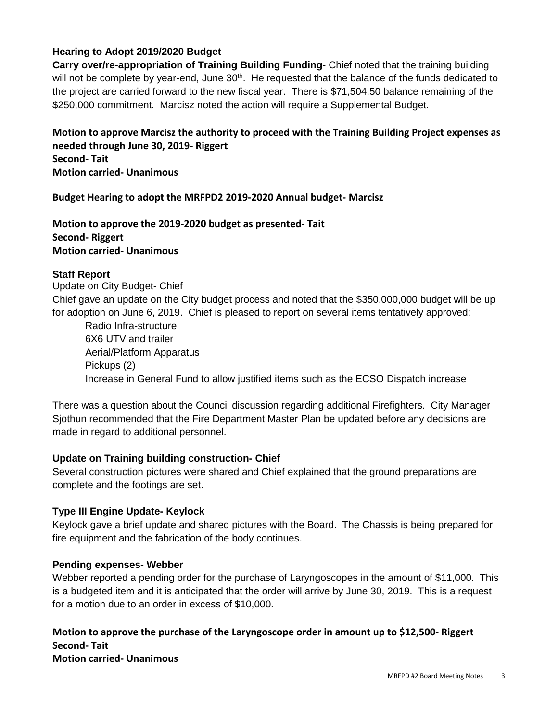# **Hearing to Adopt 2019/2020 Budget**

**Carry over/re-appropriation of Training Building Funding-** Chief noted that the training building will not be complete by year-end, June 30<sup>th</sup>. He requested that the balance of the funds dedicated to the project are carried forward to the new fiscal year. There is \$71,504.50 balance remaining of the \$250,000 commitment. Marcisz noted the action will require a Supplemental Budget.

**Motion to approve Marcisz the authority to proceed with the Training Building Project expenses as needed through June 30, 2019- Riggert Second- Tait Motion carried- Unanimous** 

**Budget Hearing to adopt the MRFPD2 2019-2020 Annual budget- Marcisz** 

**Motion to approve the 2019-2020 budget as presented- Tait Second- Riggert Motion carried- Unanimous** 

## **Staff Report**

Update on City Budget- Chief Chief gave an update on the City budget process and noted that the \$350,000,000 budget will be up for adoption on June 6, 2019. Chief is pleased to report on several items tentatively approved:

 Radio Infra-structure 6X6 UTV and trailer Aerial/Platform Apparatus Pickups (2) Increase in General Fund to allow justified items such as the ECSO Dispatch increase

There was a question about the Council discussion regarding additional Firefighters. City Manager Sjothun recommended that the Fire Department Master Plan be updated before any decisions are made in regard to additional personnel.

## **Update on Training building construction- Chief**

Several construction pictures were shared and Chief explained that the ground preparations are complete and the footings are set.

### **Type III Engine Update- Keylock**

Keylock gave a brief update and shared pictures with the Board. The Chassis is being prepared for fire equipment and the fabrication of the body continues.

### **Pending expenses- Webber**

Webber reported a pending order for the purchase of Laryngoscopes in the amount of \$11,000. This is a budgeted item and it is anticipated that the order will arrive by June 30, 2019. This is a request for a motion due to an order in excess of \$10,000.

**Motion to approve the purchase of the Laryngoscope order in amount up to \$12,500- Riggert Second- Tait Motion carried- Unanimous**